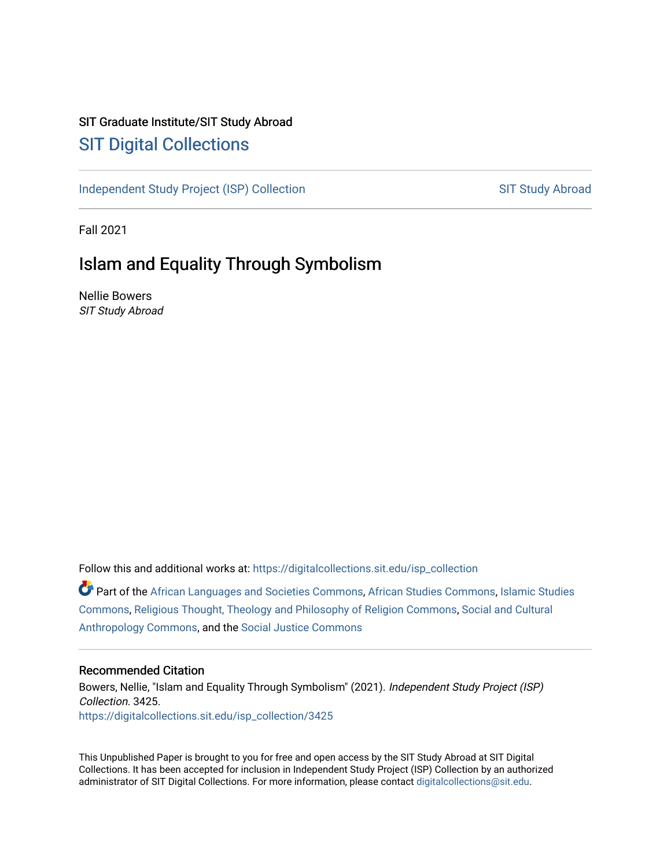## SIT Graduate Institute/SIT Study Abroad [SIT Digital Collections](https://digitalcollections.sit.edu/)

[Independent Study Project \(ISP\) Collection](https://digitalcollections.sit.edu/isp_collection) SIT Study Abroad

Fall 2021

# Islam and Equality Through Symbolism

Nellie Bowers SIT Study Abroad

Follow this and additional works at: [https://digitalcollections.sit.edu/isp\\_collection](https://digitalcollections.sit.edu/isp_collection?utm_source=digitalcollections.sit.edu%2Fisp_collection%2F3425&utm_medium=PDF&utm_campaign=PDFCoverPages) 

Part of the [African Languages and Societies Commons,](https://network.bepress.com/hgg/discipline/476?utm_source=digitalcollections.sit.edu%2Fisp_collection%2F3425&utm_medium=PDF&utm_campaign=PDFCoverPages) [African Studies Commons](https://network.bepress.com/hgg/discipline/1043?utm_source=digitalcollections.sit.edu%2Fisp_collection%2F3425&utm_medium=PDF&utm_campaign=PDFCoverPages), [Islamic Studies](https://network.bepress.com/hgg/discipline/1346?utm_source=digitalcollections.sit.edu%2Fisp_collection%2F3425&utm_medium=PDF&utm_campaign=PDFCoverPages)  [Commons](https://network.bepress.com/hgg/discipline/1346?utm_source=digitalcollections.sit.edu%2Fisp_collection%2F3425&utm_medium=PDF&utm_campaign=PDFCoverPages), [Religious Thought, Theology and Philosophy of Religion Commons](https://network.bepress.com/hgg/discipline/544?utm_source=digitalcollections.sit.edu%2Fisp_collection%2F3425&utm_medium=PDF&utm_campaign=PDFCoverPages), [Social and Cultural](https://network.bepress.com/hgg/discipline/323?utm_source=digitalcollections.sit.edu%2Fisp_collection%2F3425&utm_medium=PDF&utm_campaign=PDFCoverPages)  [Anthropology Commons](https://network.bepress.com/hgg/discipline/323?utm_source=digitalcollections.sit.edu%2Fisp_collection%2F3425&utm_medium=PDF&utm_campaign=PDFCoverPages), and the [Social Justice Commons](https://network.bepress.com/hgg/discipline/1432?utm_source=digitalcollections.sit.edu%2Fisp_collection%2F3425&utm_medium=PDF&utm_campaign=PDFCoverPages) 

#### Recommended Citation

Bowers, Nellie, "Islam and Equality Through Symbolism" (2021). Independent Study Project (ISP) Collection. 3425. [https://digitalcollections.sit.edu/isp\\_collection/3425](https://digitalcollections.sit.edu/isp_collection/3425?utm_source=digitalcollections.sit.edu%2Fisp_collection%2F3425&utm_medium=PDF&utm_campaign=PDFCoverPages) 

This Unpublished Paper is brought to you for free and open access by the SIT Study Abroad at SIT Digital Collections. It has been accepted for inclusion in Independent Study Project (ISP) Collection by an authorized administrator of SIT Digital Collections. For more information, please contact [digitalcollections@sit.edu](mailto:digitalcollections@sit.edu).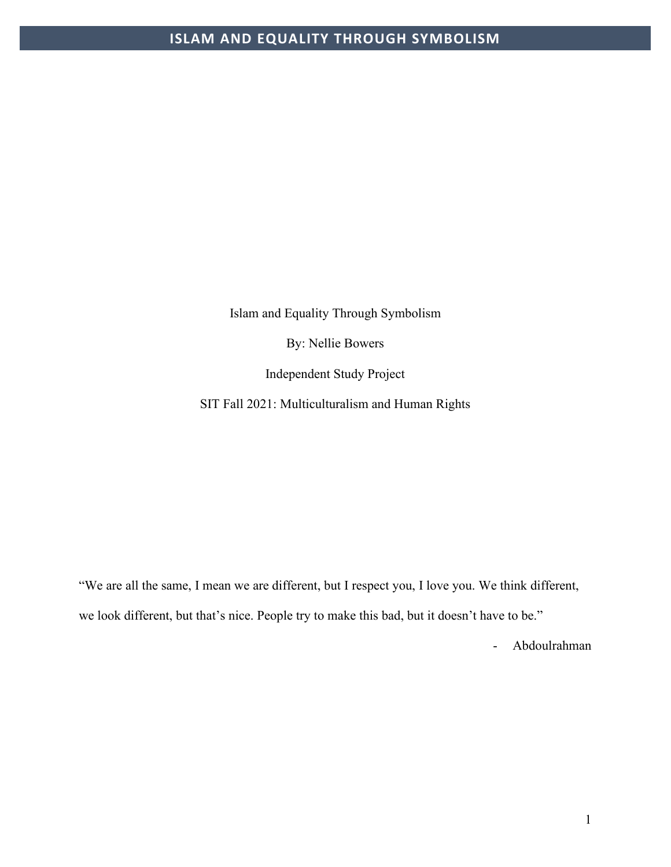Islam and Equality Through Symbolism

By: Nellie Bowers

Independent Study Project

SIT Fall 2021: Multiculturalism and Human Rights

"We are all the same, I mean we are different, but I respect you, I love you. We think different, we look different, but that's nice. People try to make this bad, but it doesn't have to be."

- Abdoulrahman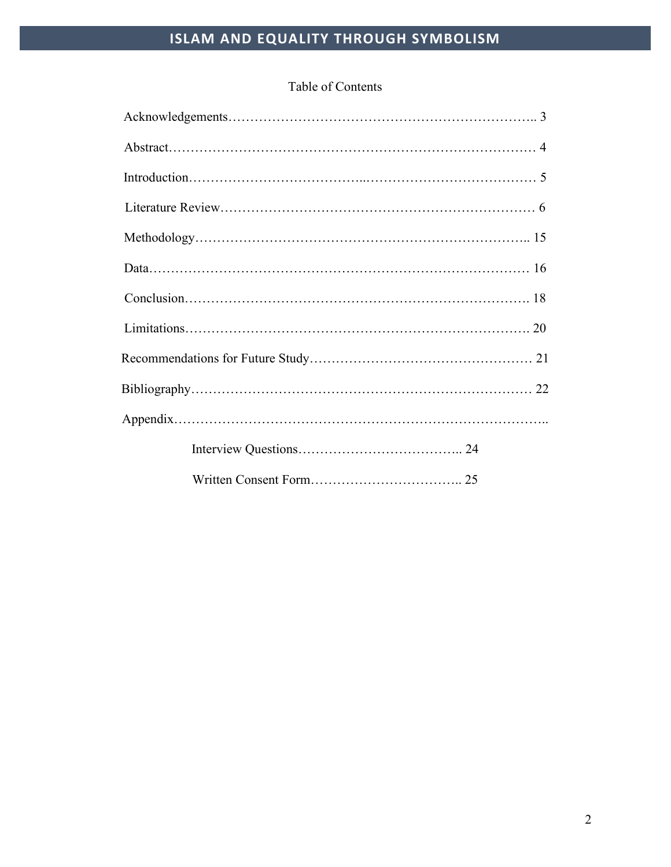## Table of Contents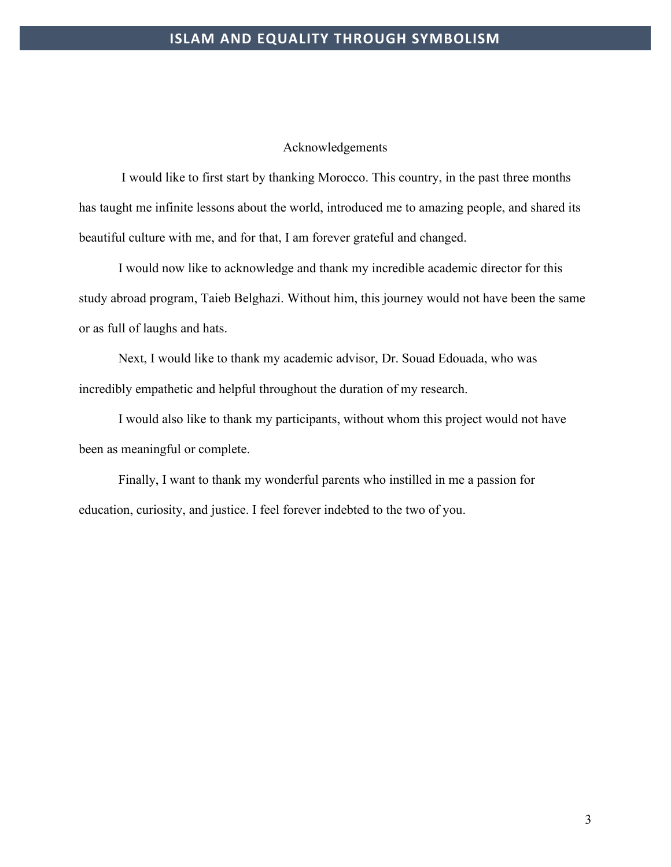#### Acknowledgements

I would like to first start by thanking Morocco. This country, in the past three months has taught me infinite lessons about the world, introduced me to amazing people, and shared its beautiful culture with me, and for that, I am forever grateful and changed.

I would now like to acknowledge and thank my incredible academic director for this study abroad program, Taieb Belghazi. Without him, this journey would not have been the same or as full of laughs and hats.

Next, I would like to thank my academic advisor, Dr. Souad Edouada, who was incredibly empathetic and helpful throughout the duration of my research.

I would also like to thank my participants, without whom this project would not have been as meaningful or complete.

Finally, I want to thank my wonderful parents who instilled in me a passion for education, curiosity, and justice. I feel forever indebted to the two of you.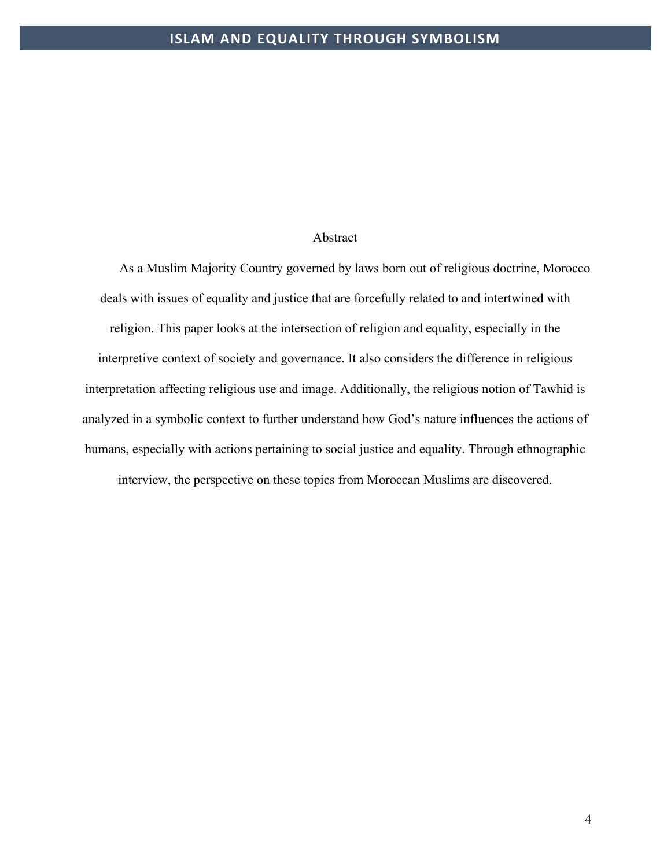#### Abstract

As a Muslim Majority Country governed by laws born out of religious doctrine, Morocco deals with issues of equality and justice that are forcefully related to and intertwined with religion. This paper looks at the intersection of religion and equality, especially in the interpretive context of society and governance. It also considers the difference in religious interpretation affecting religious use and image. Additionally, the religious notion of Tawhid is analyzed in a symbolic context to further understand how God's nature influences the actions of humans, especially with actions pertaining to social justice and equality. Through ethnographic interview, the perspective on these topics from Moroccan Muslims are discovered.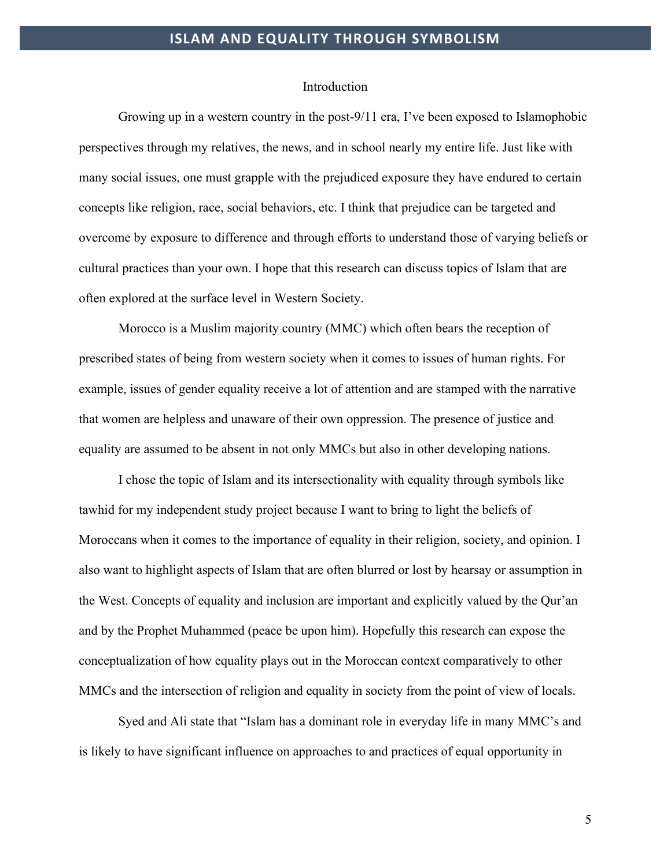#### Introduction

Growing up in a western country in the post-9/11 era, I've been exposed to Islamophobic perspectives through my relatives, the news, and in school nearly my entire life. Just like with many social issues, one must grapple with the prejudiced exposure they have endured to certain concepts like religion, race, social behaviors, etc. I think that prejudice can be targeted and overcome by exposure to difference and through efforts to understand those of varying beliefs or cultural practices than your own. I hope that this research can discuss topics of Islam that are often explored at the surface level in Western Society.

Morocco is a Muslim majority country (MMC) which often bears the reception of prescribed states of being from western society when it comes to issues of human rights. For example, issues of gender equality receive a lot of attention and are stamped with the narrative that women are helpless and unaware of their own oppression. The presence of justice and equality are assumed to be absent in not only MMCs but also in other developing nations.

I chose the topic of Islam and its intersectionality with equality through symbols like tawhid for my independent study project because I want to bring to light the beliefs of Moroccans when it comes to the importance of equality in their religion, society, and opinion. I also want to highlight aspects of Islam that are often blurred or lost by hearsay or assumption in the West. Concepts of equality and inclusion are important and explicitly valued by the Qur'an and by the Prophet Muhammed (peace be upon him). Hopefully this research can expose the conceptualization of how equality plays out in the Moroccan context comparatively to other MMCs and the intersection of religion and equality in society from the point of view of locals.

Syed and Ali state that "Islam has a dominant role in everyday life in many MMC's and is likely to have significant influence on approaches to and practices of equal opportunity in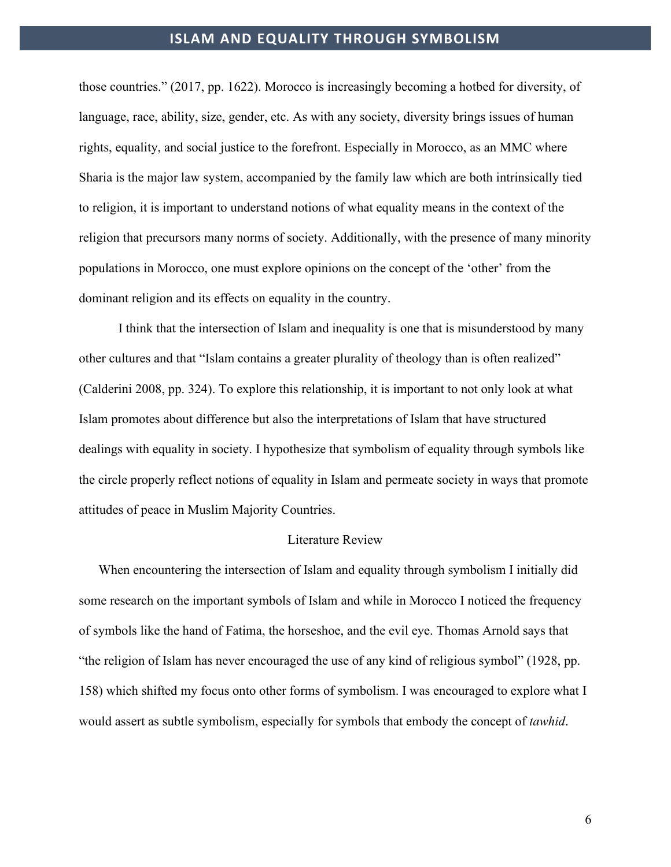those countries." (2017, pp. 1622). Morocco is increasingly becoming a hotbed for diversity, of language, race, ability, size, gender, etc. As with any society, diversity brings issues of human rights, equality, and social justice to the forefront. Especially in Morocco, as an MMC where Sharia is the major law system, accompanied by the family law which are both intrinsically tied to religion, it is important to understand notions of what equality means in the context of the religion that precursors many norms of society. Additionally, with the presence of many minority populations in Morocco, one must explore opinions on the concept of the 'other' from the dominant religion and its effects on equality in the country.

I think that the intersection of Islam and inequality is one that is misunderstood by many other cultures and that "Islam contains a greater plurality of theology than is often realized" (Calderini 2008, pp. 324). To explore this relationship, it is important to not only look at what Islam promotes about difference but also the interpretations of Islam that have structured dealings with equality in society. I hypothesize that symbolism of equality through symbols like the circle properly reflect notions of equality in Islam and permeate society in ways that promote attitudes of peace in Muslim Majority Countries.

#### Literature Review

When encountering the intersection of Islam and equality through symbolism I initially did some research on the important symbols of Islam and while in Morocco I noticed the frequency of symbols like the hand of Fatima, the horseshoe, and the evil eye. Thomas Arnold says that "the religion of Islam has never encouraged the use of any kind of religious symbol" (1928, pp. 158) which shifted my focus onto other forms of symbolism. I was encouraged to explore what I would assert as subtle symbolism, especially for symbols that embody the concept of *tawhid*.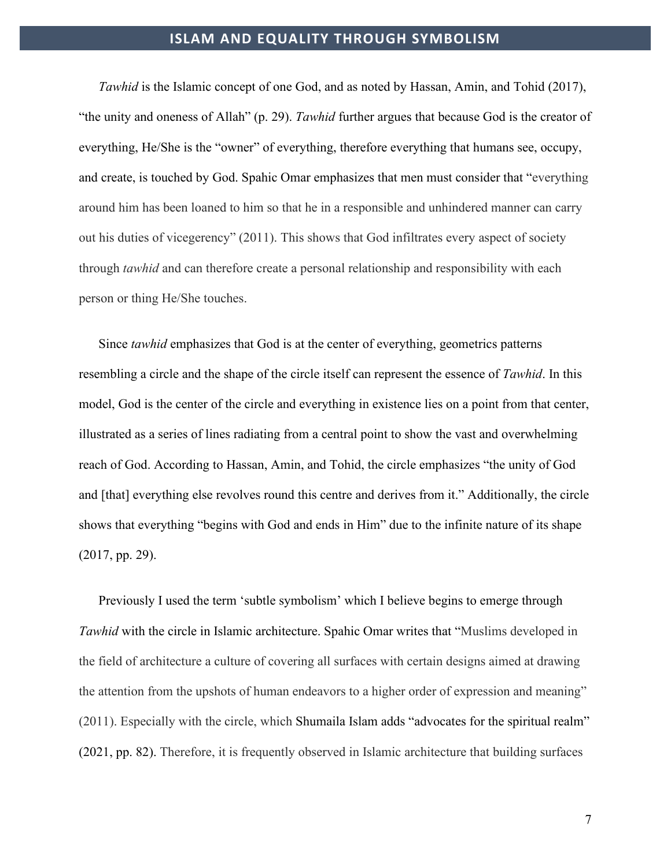*Tawhid* is the Islamic concept of one God, and as noted by Hassan, Amin, and Tohid (2017), "the unity and oneness of Allah" (p. 29). *Tawhid* further argues that because God is the creator of everything, He/She is the "owner" of everything, therefore everything that humans see, occupy, and create, is touched by God. Spahic Omar emphasizes that men must consider that "everything around him has been loaned to him so that he in a responsible and unhindered manner can carry out his duties of vicegerency" (2011). This shows that God infiltrates every aspect of society through *tawhid* and can therefore create a personal relationship and responsibility with each person or thing He/She touches.

Since *tawhid* emphasizes that God is at the center of everything, geometrics patterns resembling a circle and the shape of the circle itself can represent the essence of *Tawhid*. In this model, God is the center of the circle and everything in existence lies on a point from that center, illustrated as a series of lines radiating from a central point to show the vast and overwhelming reach of God. According to Hassan, Amin, and Tohid, the circle emphasizes "the unity of God and [that] everything else revolves round this centre and derives from it." Additionally, the circle shows that everything "begins with God and ends in Him" due to the infinite nature of its shape (2017, pp. 29).

Previously I used the term 'subtle symbolism' which I believe begins to emerge through *Tawhid* with the circle in Islamic architecture. Spahic Omar writes that "Muslims developed in the field of architecture a culture of covering all surfaces with certain designs aimed at drawing the attention from the upshots of human endeavors to a higher order of expression and meaning" (2011). Especially with the circle, which Shumaila Islam adds "advocates for the spiritual realm" (2021, pp. 82). Therefore, it is frequently observed in Islamic architecture that building surfaces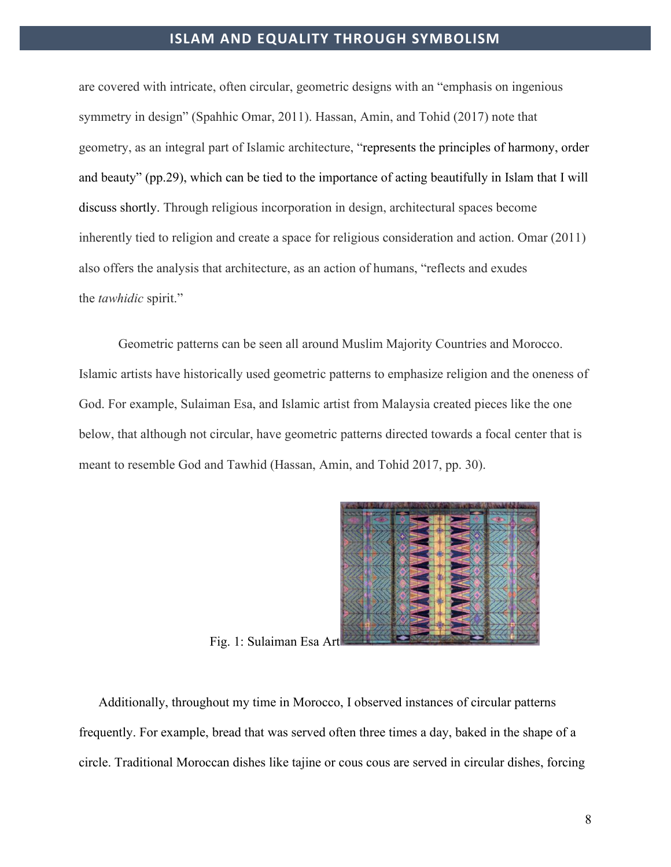are covered with intricate, often circular, geometric designs with an "emphasis on ingenious symmetry in design" (Spahhic Omar, 2011). Hassan, Amin, and Tohid (2017) note that geometry, as an integral part of Islamic architecture, "represents the principles of harmony, order and beauty" (pp.29), which can be tied to the importance of acting beautifully in Islam that I will discuss shortly. Through religious incorporation in design, architectural spaces become inherently tied to religion and create a space for religious consideration and action. Omar (2011) also offers the analysis that architecture, as an action of humans, "reflects and exudes the *tawhidic* spirit."

Geometric patterns can be seen all around Muslim Majority Countries and Morocco. Islamic artists have historically used geometric patterns to emphasize religion and the oneness of God. For example, Sulaiman Esa, and Islamic artist from Malaysia created pieces like the one below, that although not circular, have geometric patterns directed towards a focal center that is meant to resemble God and Tawhid (Hassan, Amin, and Tohid 2017, pp. 30).



Fig. 1: Sulaiman Esa Art

Additionally, throughout my time in Morocco, I observed instances of circular patterns frequently. For example, bread that was served often three times a day, baked in the shape of a circle. Traditional Moroccan dishes like tajine or cous cous are served in circular dishes, forcing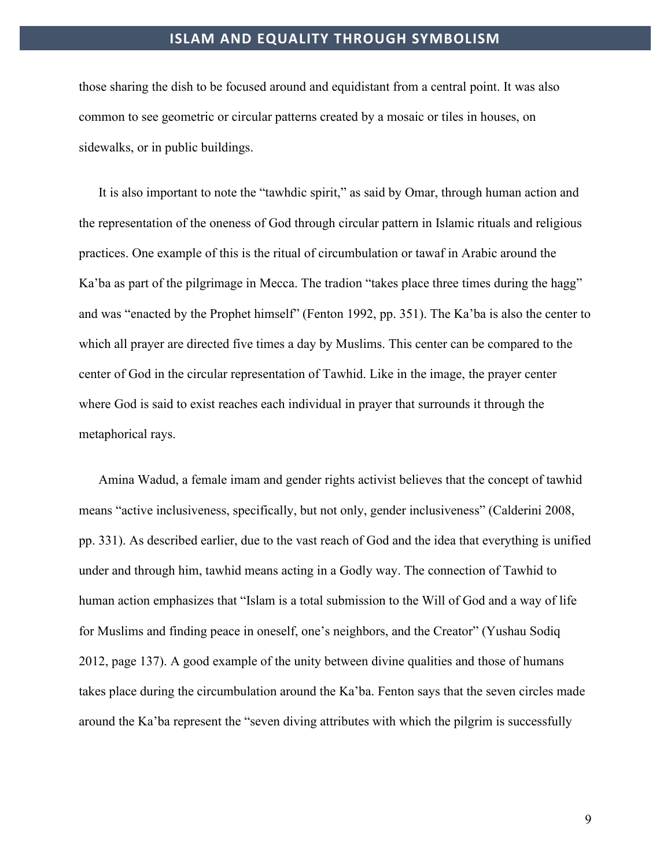those sharing the dish to be focused around and equidistant from a central point. It was also common to see geometric or circular patterns created by a mosaic or tiles in houses, on sidewalks, or in public buildings.

It is also important to note the "tawhdic spirit," as said by Omar, through human action and the representation of the oneness of God through circular pattern in Islamic rituals and religious practices. One example of this is the ritual of circumbulation or tawaf in Arabic around the Ka'ba as part of the pilgrimage in Mecca. The tradion "takes place three times during the hagg" and was "enacted by the Prophet himself" (Fenton 1992, pp. 351). The Ka'ba is also the center to which all prayer are directed five times a day by Muslims. This center can be compared to the center of God in the circular representation of Tawhid. Like in the image, the prayer center where God is said to exist reaches each individual in prayer that surrounds it through the metaphorical rays.

Amina Wadud, a female imam and gender rights activist believes that the concept of tawhid means "active inclusiveness, specifically, but not only, gender inclusiveness" (Calderini 2008, pp. 331). As described earlier, due to the vast reach of God and the idea that everything is unified under and through him, tawhid means acting in a Godly way. The connection of Tawhid to human action emphasizes that "Islam is a total submission to the Will of God and a way of life for Muslims and finding peace in oneself, one's neighbors, and the Creator" (Yushau Sodiq 2012, page 137). A good example of the unity between divine qualities and those of humans takes place during the circumbulation around the Ka'ba. Fenton says that the seven circles made around the Ka'ba represent the "seven diving attributes with which the pilgrim is successfully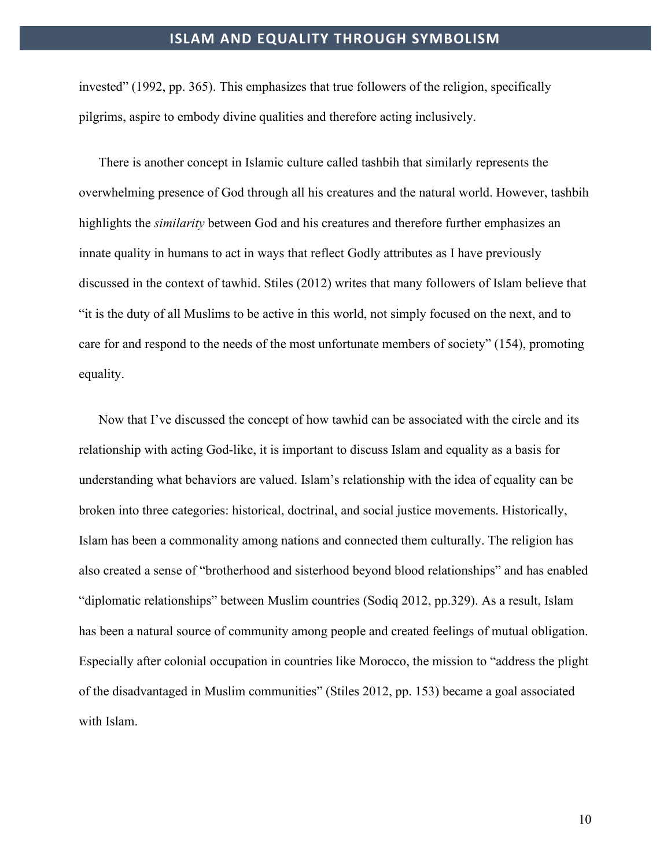invested" (1992, pp. 365). This emphasizes that true followers of the religion, specifically pilgrims, aspire to embody divine qualities and therefore acting inclusively.

There is another concept in Islamic culture called tashbih that similarly represents the overwhelming presence of God through all his creatures and the natural world. However, tashbih highlights the *similarity* between God and his creatures and therefore further emphasizes an innate quality in humans to act in ways that reflect Godly attributes as I have previously discussed in the context of tawhid. Stiles (2012) writes that many followers of Islam believe that "it is the duty of all Muslims to be active in this world, not simply focused on the next, and to care for and respond to the needs of the most unfortunate members of society" (154), promoting equality.

Now that I've discussed the concept of how tawhid can be associated with the circle and its relationship with acting God-like, it is important to discuss Islam and equality as a basis for understanding what behaviors are valued. Islam's relationship with the idea of equality can be broken into three categories: historical, doctrinal, and social justice movements. Historically, Islam has been a commonality among nations and connected them culturally. The religion has also created a sense of "brotherhood and sisterhood beyond blood relationships" and has enabled "diplomatic relationships" between Muslim countries (Sodiq 2012, pp.329). As a result, Islam has been a natural source of community among people and created feelings of mutual obligation. Especially after colonial occupation in countries like Morocco, the mission to "address the plight of the disadvantaged in Muslim communities" (Stiles 2012, pp. 153) became a goal associated with Islam.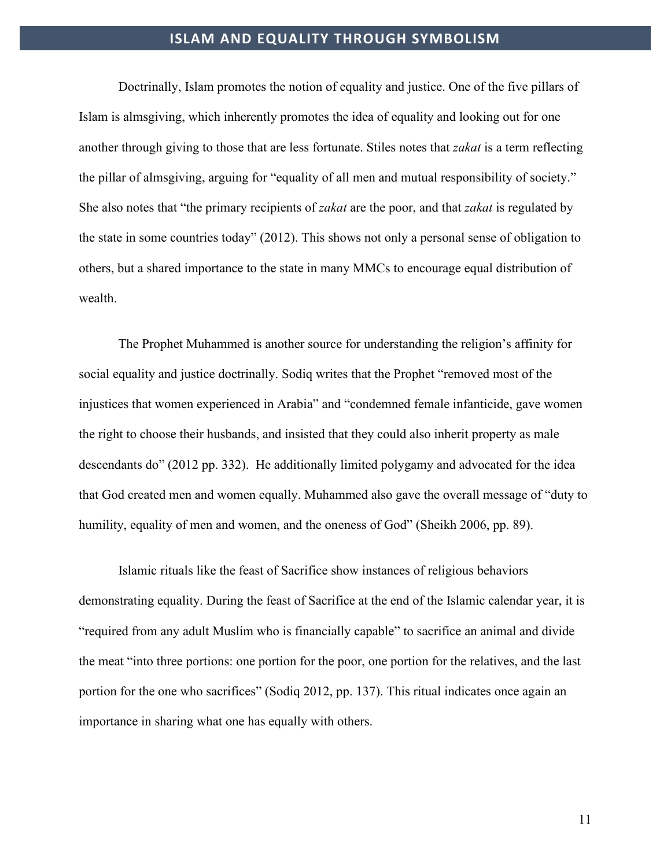Doctrinally, Islam promotes the notion of equality and justice. One of the five pillars of Islam is almsgiving, which inherently promotes the idea of equality and looking out for one another through giving to those that are less fortunate. Stiles notes that *zakat* is a term reflecting the pillar of almsgiving, arguing for "equality of all men and mutual responsibility of society." She also notes that "the primary recipients of *zakat* are the poor, and that *zakat* is regulated by the state in some countries today" (2012). This shows not only a personal sense of obligation to others, but a shared importance to the state in many MMCs to encourage equal distribution of wealth.

The Prophet Muhammed is another source for understanding the religion's affinity for social equality and justice doctrinally. Sodiq writes that the Prophet "removed most of the injustices that women experienced in Arabia" and "condemned female infanticide, gave women the right to choose their husbands, and insisted that they could also inherit property as male descendants do" (2012 pp. 332). He additionally limited polygamy and advocated for the idea that God created men and women equally. Muhammed also gave the overall message of "duty to humility, equality of men and women, and the oneness of God" (Sheikh 2006, pp. 89).

Islamic rituals like the feast of Sacrifice show instances of religious behaviors demonstrating equality. During the feast of Sacrifice at the end of the Islamic calendar year, it is "required from any adult Muslim who is financially capable" to sacrifice an animal and divide the meat "into three portions: one portion for the poor, one portion for the relatives, and the last portion for the one who sacrifices" (Sodiq 2012, pp. 137). This ritual indicates once again an importance in sharing what one has equally with others.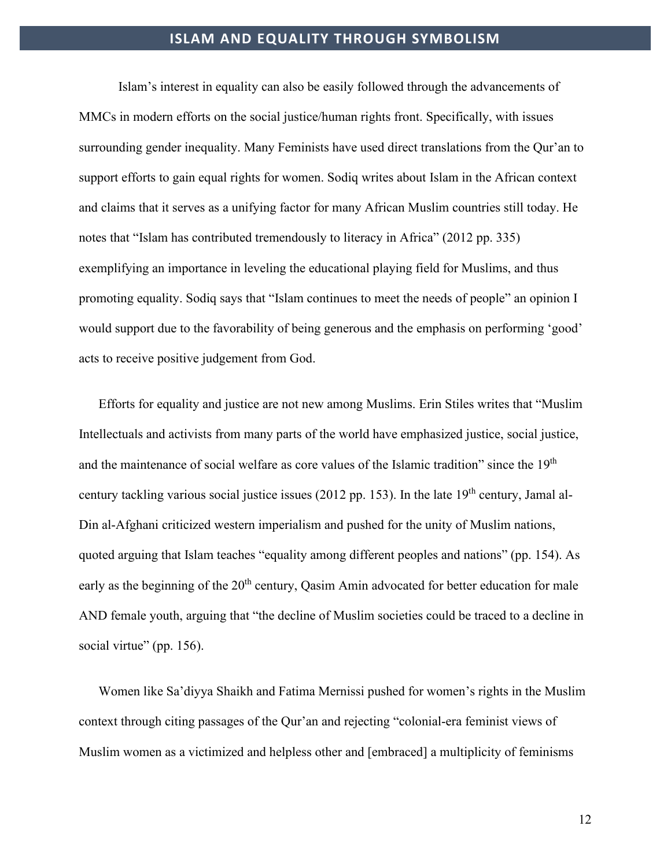Islam's interest in equality can also be easily followed through the advancements of MMCs in modern efforts on the social justice/human rights front. Specifically, with issues surrounding gender inequality. Many Feminists have used direct translations from the Qur'an to support efforts to gain equal rights for women. Sodiq writes about Islam in the African context and claims that it serves as a unifying factor for many African Muslim countries still today. He notes that "Islam has contributed tremendously to literacy in Africa" (2012 pp. 335) exemplifying an importance in leveling the educational playing field for Muslims, and thus promoting equality. Sodiq says that "Islam continues to meet the needs of people" an opinion I would support due to the favorability of being generous and the emphasis on performing 'good' acts to receive positive judgement from God.

Efforts for equality and justice are not new among Muslims. Erin Stiles writes that "Muslim Intellectuals and activists from many parts of the world have emphasized justice, social justice, and the maintenance of social welfare as core values of the Islamic tradition" since the 19<sup>th</sup> century tackling various social justice issues (2012 pp. 153). In the late  $19<sup>th</sup>$  century, Jamal al-Din al-Afghani criticized western imperialism and pushed for the unity of Muslim nations, quoted arguing that Islam teaches "equality among different peoples and nations" (pp. 154). As early as the beginning of the 20<sup>th</sup> century, Qasim Amin advocated for better education for male AND female youth, arguing that "the decline of Muslim societies could be traced to a decline in social virtue" (pp. 156).

Women like Sa'diyya Shaikh and Fatima Mernissi pushed for women's rights in the Muslim context through citing passages of the Qur'an and rejecting "colonial-era feminist views of Muslim women as a victimized and helpless other and [embraced] a multiplicity of feminisms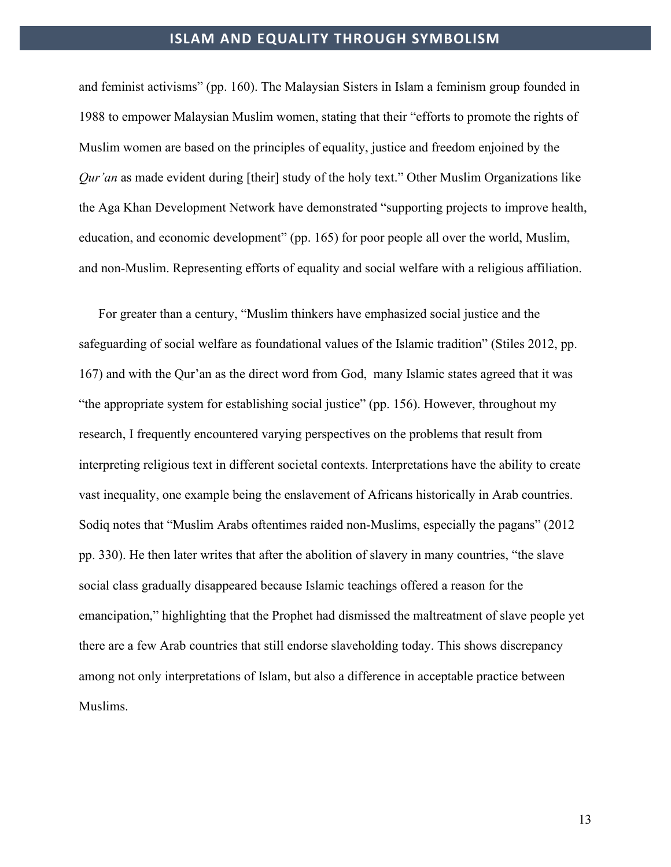and feminist activisms" (pp. 160). The Malaysian Sisters in Islam a feminism group founded in 1988 to empower Malaysian Muslim women, stating that their "efforts to promote the rights of Muslim women are based on the principles of equality, justice and freedom enjoined by the *Qur'an* as made evident during [their] study of the holy text." Other Muslim Organizations like the Aga Khan Development Network have demonstrated "supporting projects to improve health, education, and economic development" (pp. 165) for poor people all over the world, Muslim, and non-Muslim. Representing efforts of equality and social welfare with a religious affiliation.

For greater than a century, "Muslim thinkers have emphasized social justice and the safeguarding of social welfare as foundational values of the Islamic tradition" (Stiles 2012, pp. 167) and with the Qur'an as the direct word from God, many Islamic states agreed that it was "the appropriate system for establishing social justice" (pp. 156). However, throughout my research, I frequently encountered varying perspectives on the problems that result from interpreting religious text in different societal contexts. Interpretations have the ability to create vast inequality, one example being the enslavement of Africans historically in Arab countries. Sodiq notes that "Muslim Arabs oftentimes raided non-Muslims, especially the pagans" (2012 pp. 330). He then later writes that after the abolition of slavery in many countries, "the slave social class gradually disappeared because Islamic teachings offered a reason for the emancipation," highlighting that the Prophet had dismissed the maltreatment of slave people yet there are a few Arab countries that still endorse slaveholding today. This shows discrepancy among not only interpretations of Islam, but also a difference in acceptable practice between Muslims.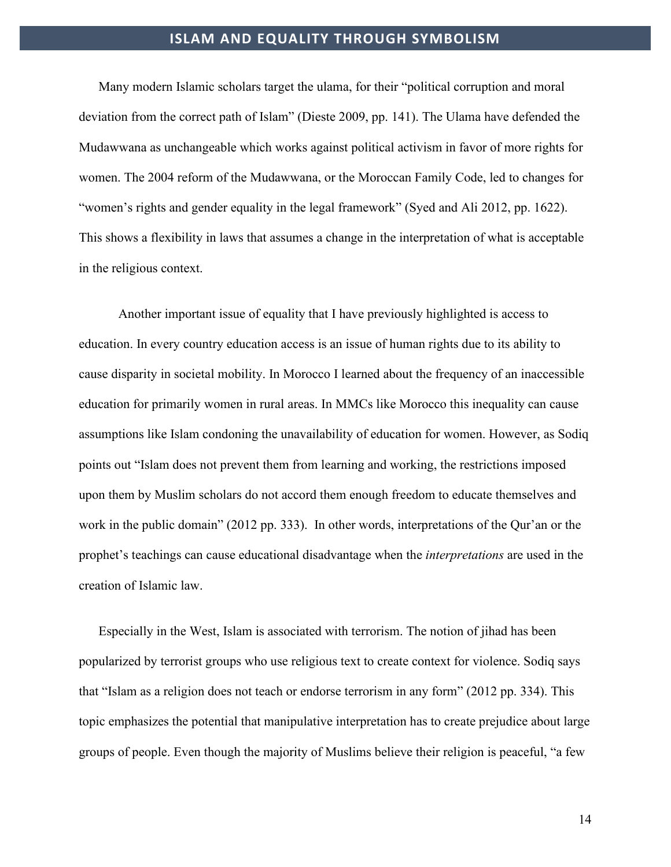Many modern Islamic scholars target the ulama, for their "political corruption and moral deviation from the correct path of Islam" (Dieste 2009, pp. 141). The Ulama have defended the Mudawwana as unchangeable which works against political activism in favor of more rights for women. The 2004 reform of the Mudawwana, or the Moroccan Family Code, led to changes for "women's rights and gender equality in the legal framework" (Syed and Ali 2012, pp. 1622). This shows a flexibility in laws that assumes a change in the interpretation of what is acceptable in the religious context.

Another important issue of equality that I have previously highlighted is access to education. In every country education access is an issue of human rights due to its ability to cause disparity in societal mobility. In Morocco I learned about the frequency of an inaccessible education for primarily women in rural areas. In MMCs like Morocco this inequality can cause assumptions like Islam condoning the unavailability of education for women. However, as Sodiq points out "Islam does not prevent them from learning and working, the restrictions imposed upon them by Muslim scholars do not accord them enough freedom to educate themselves and work in the public domain" (2012 pp. 333). In other words, interpretations of the Qur'an or the prophet's teachings can cause educational disadvantage when the *interpretations* are used in the creation of Islamic law.

Especially in the West, Islam is associated with terrorism. The notion of jihad has been popularized by terrorist groups who use religious text to create context for violence. Sodiq says that "Islam as a religion does not teach or endorse terrorism in any form" (2012 pp. 334). This topic emphasizes the potential that manipulative interpretation has to create prejudice about large groups of people. Even though the majority of Muslims believe their religion is peaceful, "a few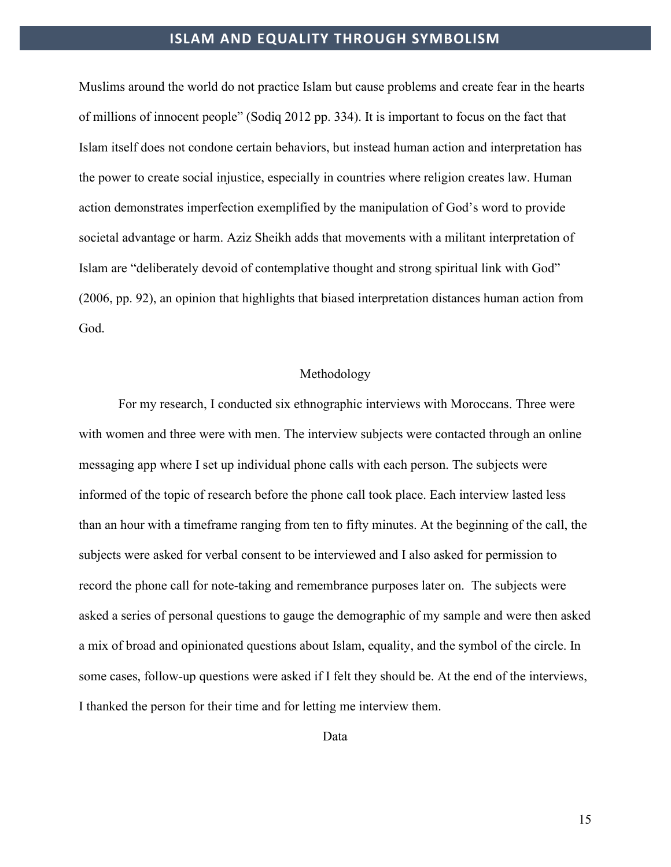Muslims around the world do not practice Islam but cause problems and create fear in the hearts of millions of innocent people" (Sodiq 2012 pp. 334). It is important to focus on the fact that Islam itself does not condone certain behaviors, but instead human action and interpretation has the power to create social injustice, especially in countries where religion creates law. Human action demonstrates imperfection exemplified by the manipulation of God's word to provide societal advantage or harm. Aziz Sheikh adds that movements with a militant interpretation of Islam are "deliberately devoid of contemplative thought and strong spiritual link with God" (2006, pp. 92), an opinion that highlights that biased interpretation distances human action from God.

#### Methodology

For my research, I conducted six ethnographic interviews with Moroccans. Three were with women and three were with men. The interview subjects were contacted through an online messaging app where I set up individual phone calls with each person. The subjects were informed of the topic of research before the phone call took place. Each interview lasted less than an hour with a timeframe ranging from ten to fifty minutes. At the beginning of the call, the subjects were asked for verbal consent to be interviewed and I also asked for permission to record the phone call for note-taking and remembrance purposes later on. The subjects were asked a series of personal questions to gauge the demographic of my sample and were then asked a mix of broad and opinionated questions about Islam, equality, and the symbol of the circle. In some cases, follow-up questions were asked if I felt they should be. At the end of the interviews, I thanked the person for their time and for letting me interview them.

Data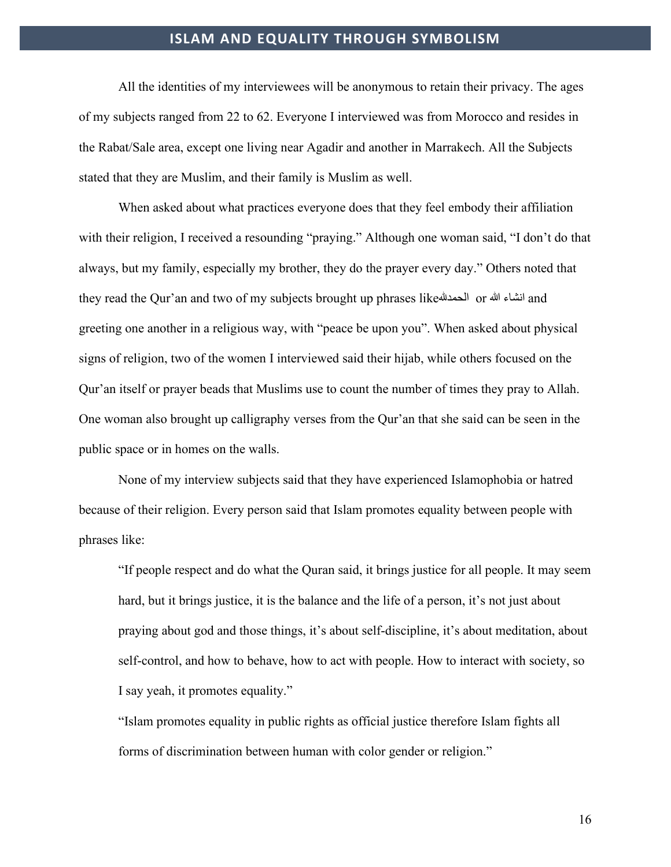All the identities of my interviewees will be anonymous to retain their privacy. The ages of my subjects ranged from 22 to 62. Everyone I interviewed was from Morocco and resides in the Rabat/Sale area, except one living near Agadir and another in Marrakech. All the Subjects stated that they are Muslim, and their family is Muslim as well.

When asked about what practices everyone does that they feel embody their affiliation with their religion, I received a resounding "praying." Although one woman said, "I don't do that always, but my family, especially my brother, they do the prayer every day." Others noted that they read the Qur'an and two of my subjects brought up phrases like�الحمد or الله انشاء and greeting one another in a religious way, with "peace be upon you". When asked about physical signs of religion, two of the women I interviewed said their hijab, while others focused on the Qur'an itself or prayer beads that Muslims use to count the number of times they pray to Allah. One woman also brought up calligraphy verses from the Qur'an that she said can be seen in the public space or in homes on the walls.

None of my interview subjects said that they have experienced Islamophobia or hatred because of their religion. Every person said that Islam promotes equality between people with phrases like:

"If people respect and do what the Quran said, it brings justice for all people. It may seem hard, but it brings justice, it is the balance and the life of a person, it's not just about praying about god and those things, it's about self-discipline, it's about meditation, about self-control, and how to behave, how to act with people. How to interact with society, so I say yeah, it promotes equality."

"Islam promotes equality in public rights as official justice therefore Islam fights all forms of discrimination between human with color gender or religion."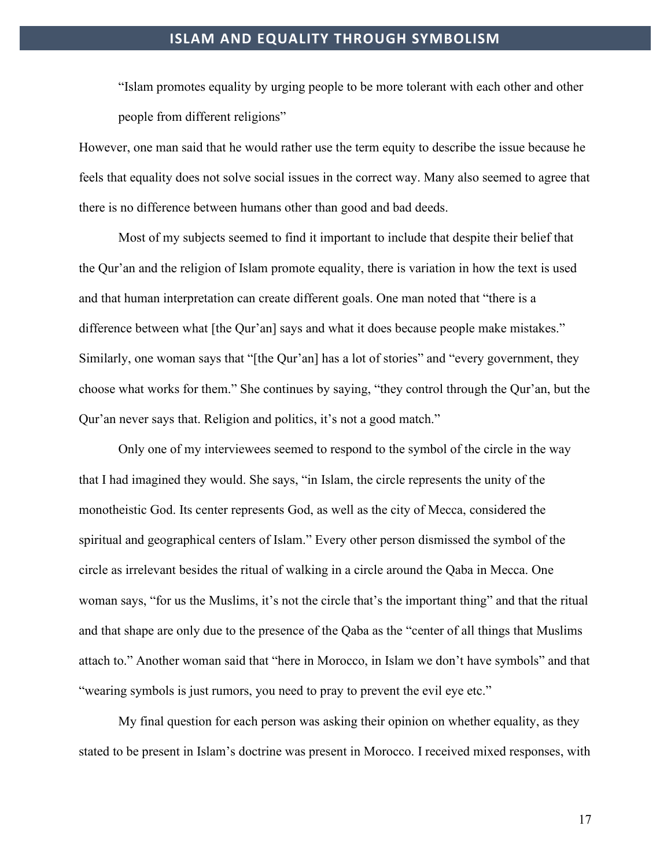"Islam promotes equality by urging people to be more tolerant with each other and other people from different religions"

However, one man said that he would rather use the term equity to describe the issue because he feels that equality does not solve social issues in the correct way. Many also seemed to agree that there is no difference between humans other than good and bad deeds.

Most of my subjects seemed to find it important to include that despite their belief that the Qur'an and the religion of Islam promote equality, there is variation in how the text is used and that human interpretation can create different goals. One man noted that "there is a difference between what [the Qur'an] says and what it does because people make mistakes." Similarly, one woman says that "[the Qur'an] has a lot of stories" and "every government, they choose what works for them." She continues by saying, "they control through the Qur'an, but the Qur'an never says that. Religion and politics, it's not a good match."

Only one of my interviewees seemed to respond to the symbol of the circle in the way that I had imagined they would. She says, "in Islam, the circle represents the unity of the monotheistic God. Its center represents God, as well as the city of Mecca, considered the spiritual and geographical centers of Islam." Every other person dismissed the symbol of the circle as irrelevant besides the ritual of walking in a circle around the Qaba in Mecca. One woman says, "for us the Muslims, it's not the circle that's the important thing" and that the ritual and that shape are only due to the presence of the Qaba as the "center of all things that Muslims attach to." Another woman said that "here in Morocco, in Islam we don't have symbols" and that "wearing symbols is just rumors, you need to pray to prevent the evil eye etc."

My final question for each person was asking their opinion on whether equality, as they stated to be present in Islam's doctrine was present in Morocco. I received mixed responses, with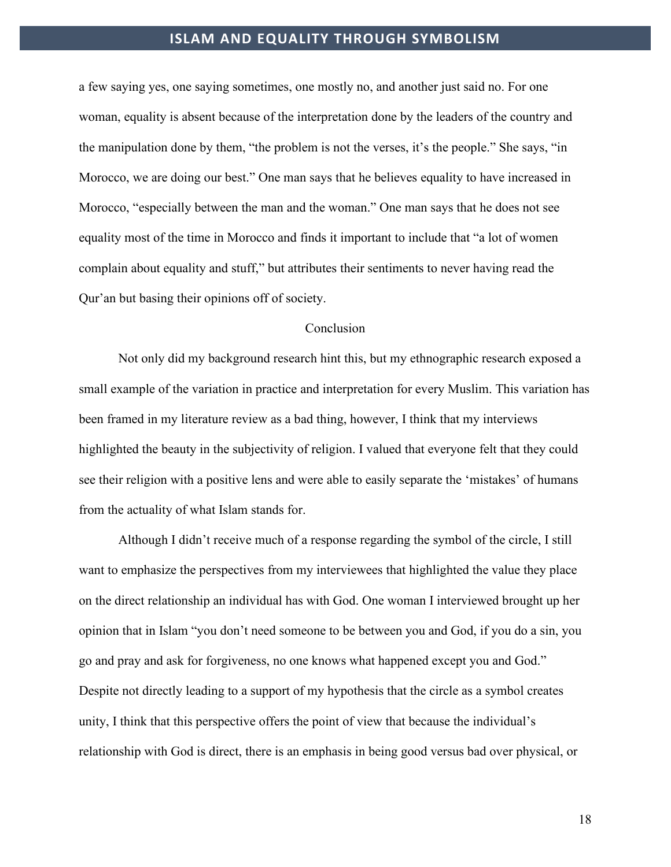a few saying yes, one saying sometimes, one mostly no, and another just said no. For one woman, equality is absent because of the interpretation done by the leaders of the country and the manipulation done by them, "the problem is not the verses, it's the people." She says, "in Morocco, we are doing our best." One man says that he believes equality to have increased in Morocco, "especially between the man and the woman." One man says that he does not see equality most of the time in Morocco and finds it important to include that "a lot of women complain about equality and stuff," but attributes their sentiments to never having read the Qur'an but basing their opinions off of society.

#### Conclusion

Not only did my background research hint this, but my ethnographic research exposed a small example of the variation in practice and interpretation for every Muslim. This variation has been framed in my literature review as a bad thing, however, I think that my interviews highlighted the beauty in the subjectivity of religion. I valued that everyone felt that they could see their religion with a positive lens and were able to easily separate the 'mistakes' of humans from the actuality of what Islam stands for.

Although I didn't receive much of a response regarding the symbol of the circle, I still want to emphasize the perspectives from my interviewees that highlighted the value they place on the direct relationship an individual has with God. One woman I interviewed brought up her opinion that in Islam "you don't need someone to be between you and God, if you do a sin, you go and pray and ask for forgiveness, no one knows what happened except you and God." Despite not directly leading to a support of my hypothesis that the circle as a symbol creates unity, I think that this perspective offers the point of view that because the individual's relationship with God is direct, there is an emphasis in being good versus bad over physical, or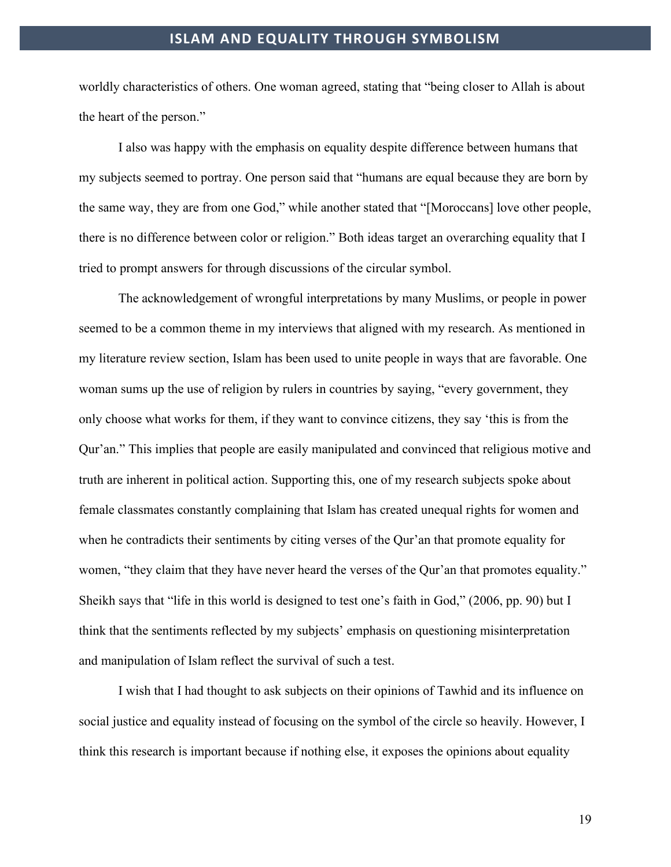worldly characteristics of others. One woman agreed, stating that "being closer to Allah is about the heart of the person."

I also was happy with the emphasis on equality despite difference between humans that my subjects seemed to portray. One person said that "humans are equal because they are born by the same way, they are from one God," while another stated that "[Moroccans] love other people, there is no difference between color or religion." Both ideas target an overarching equality that I tried to prompt answers for through discussions of the circular symbol.

The acknowledgement of wrongful interpretations by many Muslims, or people in power seemed to be a common theme in my interviews that aligned with my research. As mentioned in my literature review section, Islam has been used to unite people in ways that are favorable. One woman sums up the use of religion by rulers in countries by saying, "every government, they only choose what works for them, if they want to convince citizens, they say 'this is from the Qur'an." This implies that people are easily manipulated and convinced that religious motive and truth are inherent in political action. Supporting this, one of my research subjects spoke about female classmates constantly complaining that Islam has created unequal rights for women and when he contradicts their sentiments by citing verses of the Qur'an that promote equality for women, "they claim that they have never heard the verses of the Qur'an that promotes equality." Sheikh says that "life in this world is designed to test one's faith in God," (2006, pp. 90) but I think that the sentiments reflected by my subjects' emphasis on questioning misinterpretation and manipulation of Islam reflect the survival of such a test.

I wish that I had thought to ask subjects on their opinions of Tawhid and its influence on social justice and equality instead of focusing on the symbol of the circle so heavily. However, I think this research is important because if nothing else, it exposes the opinions about equality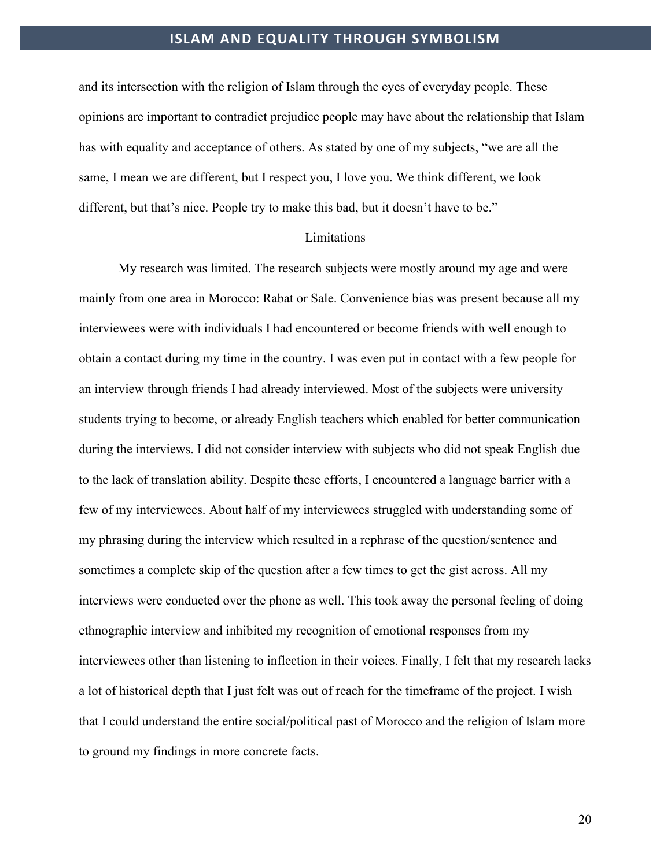and its intersection with the religion of Islam through the eyes of everyday people. These opinions are important to contradict prejudice people may have about the relationship that Islam has with equality and acceptance of others. As stated by one of my subjects, "we are all the same, I mean we are different, but I respect you, I love you. We think different, we look different, but that's nice. People try to make this bad, but it doesn't have to be."

#### Limitations

My research was limited. The research subjects were mostly around my age and were mainly from one area in Morocco: Rabat or Sale. Convenience bias was present because all my interviewees were with individuals I had encountered or become friends with well enough to obtain a contact during my time in the country. I was even put in contact with a few people for an interview through friends I had already interviewed. Most of the subjects were university students trying to become, or already English teachers which enabled for better communication during the interviews. I did not consider interview with subjects who did not speak English due to the lack of translation ability. Despite these efforts, I encountered a language barrier with a few of my interviewees. About half of my interviewees struggled with understanding some of my phrasing during the interview which resulted in a rephrase of the question/sentence and sometimes a complete skip of the question after a few times to get the gist across. All my interviews were conducted over the phone as well. This took away the personal feeling of doing ethnographic interview and inhibited my recognition of emotional responses from my interviewees other than listening to inflection in their voices. Finally, I felt that my research lacks a lot of historical depth that I just felt was out of reach for the timeframe of the project. I wish that I could understand the entire social/political past of Morocco and the religion of Islam more to ground my findings in more concrete facts.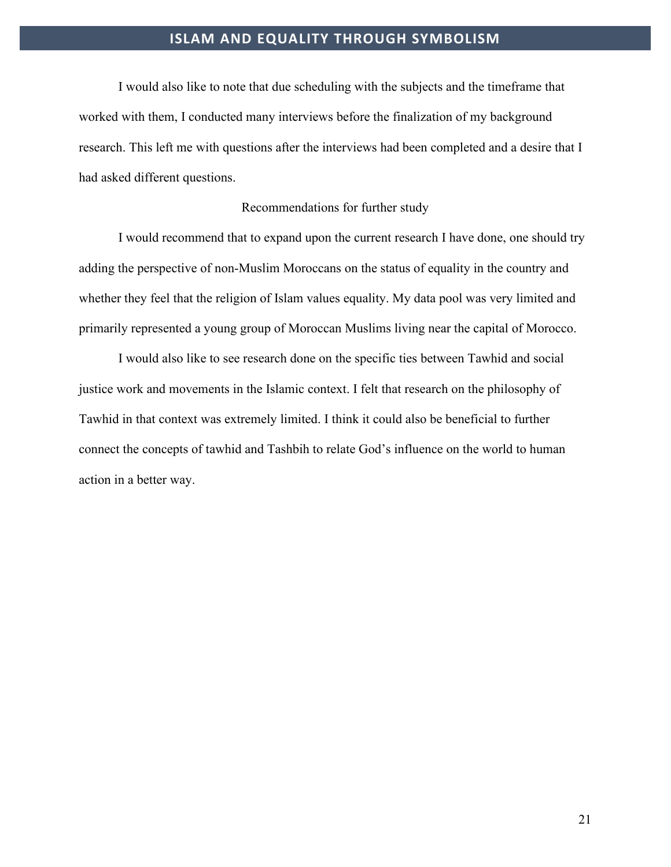I would also like to note that due scheduling with the subjects and the timeframe that worked with them, I conducted many interviews before the finalization of my background research. This left me with questions after the interviews had been completed and a desire that I had asked different questions.

#### Recommendations for further study

I would recommend that to expand upon the current research I have done, one should try adding the perspective of non-Muslim Moroccans on the status of equality in the country and whether they feel that the religion of Islam values equality. My data pool was very limited and primarily represented a young group of Moroccan Muslims living near the capital of Morocco.

I would also like to see research done on the specific ties between Tawhid and social justice work and movements in the Islamic context. I felt that research on the philosophy of Tawhid in that context was extremely limited. I think it could also be beneficial to further connect the concepts of tawhid and Tashbih to relate God's influence on the world to human action in a better way.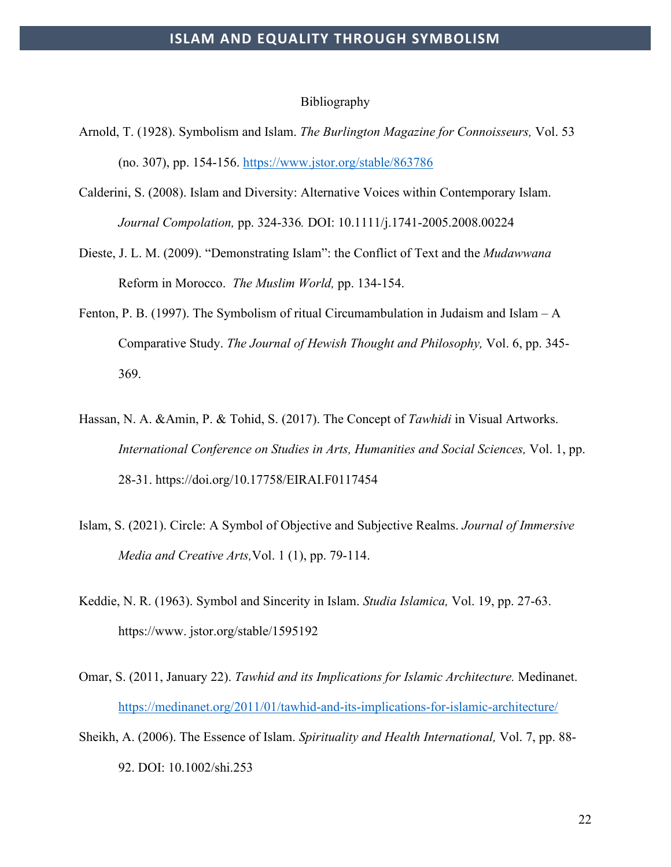#### Bibliography

- Arnold, T. (1928). Symbolism and Islam. *The Burlington Magazine for Connoisseurs,* Vol. 53 (no. 307), pp. 154-156.<https://www.jstor.org/stable/863786>
- Calderini, S. (2008). Islam and Diversity: Alternative Voices within Contemporary Islam. *Journal Compolation,* pp. 324-336*.* DOI: 10.1111/j.1741-2005.2008.00224
- Dieste, J. L. M. (2009). "Demonstrating Islam": the Conflict of Text and the *Mudawwana* Reform in Morocco. *The Muslim World,* pp. 134-154.
- Fenton, P. B. (1997). The Symbolism of ritual Circumambulation in Judaism and Islam A Comparative Study. *The Journal of Hewish Thought and Philosophy,* Vol. 6, pp. 345- 369.
- Hassan, N. A. &Amin, P. & Tohid, S. (2017). The Concept of *Tawhidi* in Visual Artworks. *International Conference on Studies in Arts, Humanities and Social Sciences,* Vol. 1, pp. 28-31. https://doi.org/10.17758/EIRAI.F0117454
- Islam, S. (2021). Circle: A Symbol of Objective and Subjective Realms. *Journal of Immersive Media and Creative Arts,*Vol. 1 (1), pp. 79-114.
- Keddie, N. R. (1963). Symbol and Sincerity in Islam. *Studia Islamica,* Vol. 19, pp. 27-63. https://www. jstor.org/stable/1595192
- Omar, S. (2011, January 22). *Tawhid and its Implications for Islamic Architecture.* Medinanet. <https://medinanet.org/2011/01/tawhid-and-its-implications-for-islamic-architecture/>
- Sheikh, A. (2006). The Essence of Islam. *Spirituality and Health International,* Vol. 7, pp. 88- 92. DOI: 10.1002/shi.253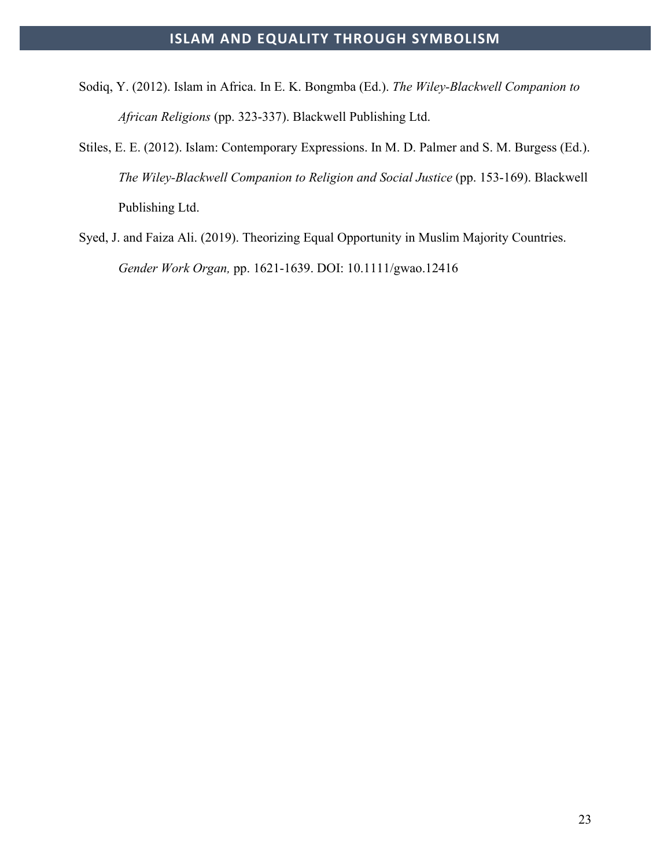- Sodiq, Y. (2012). Islam in Africa. In E. K. Bongmba (Ed.). *The Wiley-Blackwell Companion to African Religions* (pp. 323-337). Blackwell Publishing Ltd.
- Stiles, E. E. (2012). Islam: Contemporary Expressions. In M. D. Palmer and S. M. Burgess (Ed.). *The Wiley-Blackwell Companion to Religion and Social Justice* (pp. 153-169). Blackwell Publishing Ltd.
- Syed, J. and Faiza Ali. (2019). Theorizing Equal Opportunity in Muslim Majority Countries. *Gender Work Organ,* pp. 1621-1639. DOI: 10.1111/gwao.12416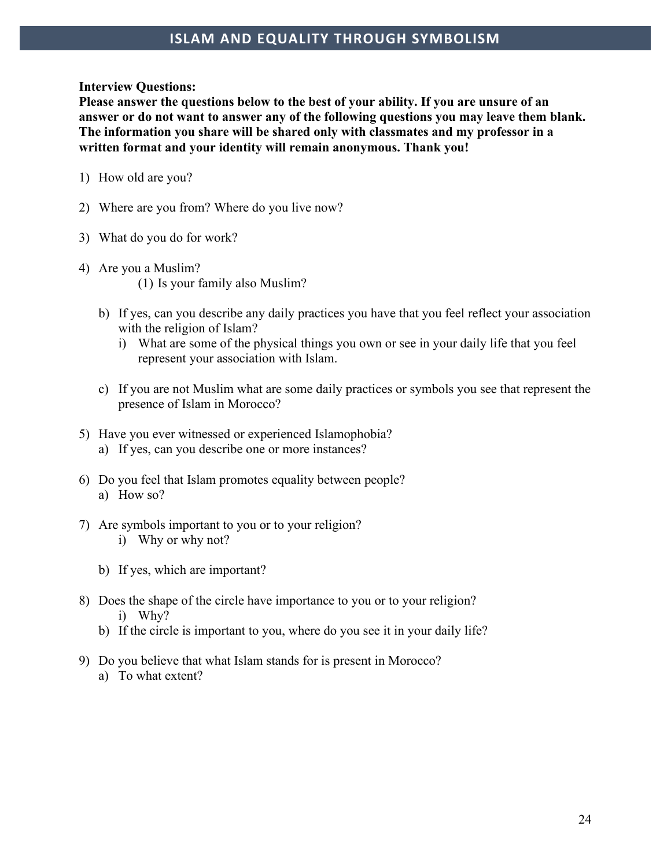#### **Interview Questions:**

**Please answer the questions below to the best of your ability. If you are unsure of an answer or do not want to answer any of the following questions you may leave them blank. The information you share will be shared only with classmates and my professor in a written format and your identity will remain anonymous. Thank you!** 

- 1) How old are you?
- 2) Where are you from? Where do you live now?
- 3) What do you do for work?
- 4) Are you a Muslim? (1) Is your family also Muslim?
	- b) If yes, can you describe any daily practices you have that you feel reflect your association with the religion of Islam?
		- i) What are some of the physical things you own or see in your daily life that you feel represent your association with Islam.
	- c) If you are not Muslim what are some daily practices or symbols you see that represent the presence of Islam in Morocco?
- 5) Have you ever witnessed or experienced Islamophobia? a) If yes, can you describe one or more instances?
- 6) Do you feel that Islam promotes equality between people? a) How so?
- 7) Are symbols important to you or to your religion? i) Why or why not?
	- b) If yes, which are important?
- 8) Does the shape of the circle have importance to you or to your religion? i) Why?
	- b) If the circle is important to you, where do you see it in your daily life?
- 9) Do you believe that what Islam stands for is present in Morocco? a) To what extent?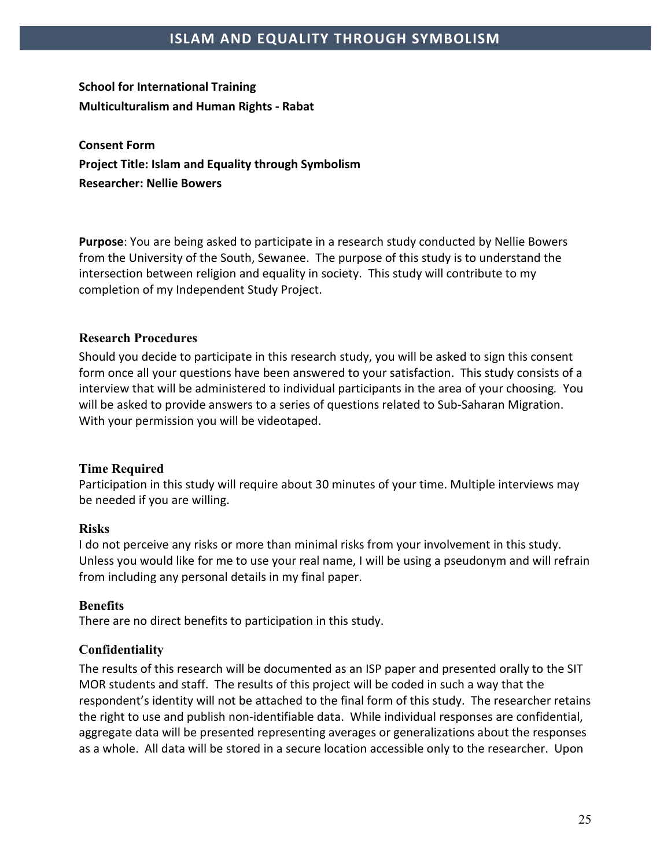## **School for International Training Multiculturalism and Human Rights - Rabat**

**Consent Form Project Title: Islam and Equality through Symbolism Researcher: Nellie Bowers**

**Purpose**: You are being asked to participate in a research study conducted by Nellie Bowers from the University of the South, Sewanee. The purpose of this study is to understand the intersection between religion and equality in society. This study will contribute to my completion of my Independent Study Project.

#### **Research Procedures**

Should you decide to participate in this research study, you will be asked to sign this consent form once all your questions have been answered to your satisfaction. This study consists of a interview that will be administered to individual participants in the area of your choosing*.* You will be asked to provide answers to a series of questions related to Sub-Saharan Migration. With your permission you will be videotaped.

#### **Time Required**

Participation in this study will require about 30 minutes of your time. Multiple interviews may be needed if you are willing.

#### **Risks**

I do not perceive any risks or more than minimal risks from your involvement in this study. Unless you would like for me to use your real name, I will be using a pseudonym and will refrain from including any personal details in my final paper.

#### **Benefits**

There are no direct benefits to participation in this study.

#### **Confidentiality**

The results of this research will be documented as an ISP paper and presented orally to the SIT MOR students and staff. The results of this project will be coded in such a way that the respondent's identity will not be attached to the final form of this study. The researcher retains the right to use and publish non-identifiable data. While individual responses are confidential, aggregate data will be presented representing averages or generalizations about the responses as a whole. All data will be stored in a secure location accessible only to the researcher. Upon